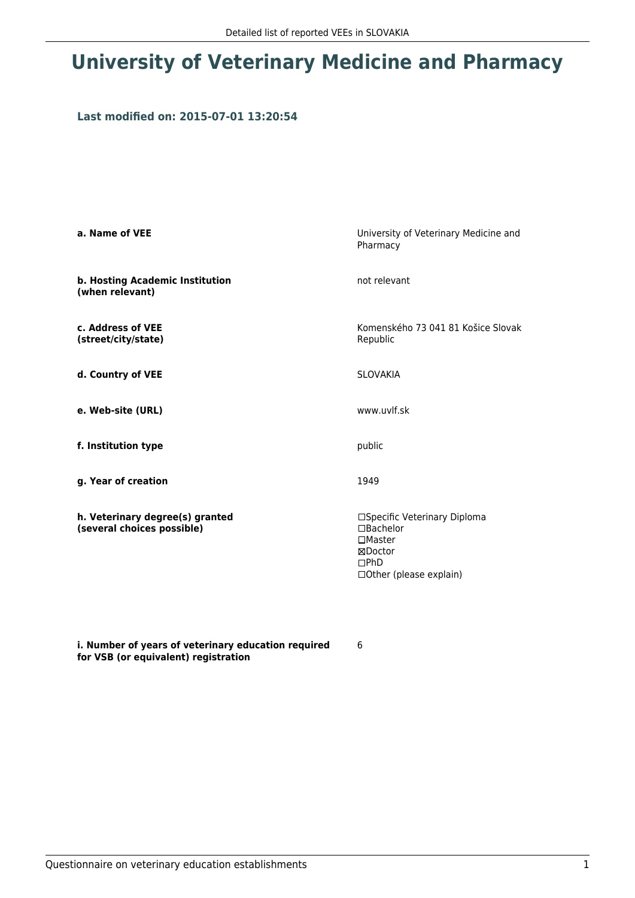## **University of Veterinary Medicine and Pharmacy**

## **Last modified on: 2015-07-01 13:20:54**

| a. Name of VEE                                                | University of Veterinary Medicine and<br>Pharmacy                                                                        |
|---------------------------------------------------------------|--------------------------------------------------------------------------------------------------------------------------|
| b. Hosting Academic Institution<br>(when relevant)            | not relevant                                                                                                             |
| c. Address of VEE<br>(street/city/state)                      | Komenského 73 041 81 Košice Slovak<br>Republic                                                                           |
| d. Country of VEE                                             | <b>SLOVAKIA</b>                                                                                                          |
| e. Web-site (URL)                                             | www.uvlf.sk                                                                                                              |
| f. Institution type                                           | public                                                                                                                   |
| g. Year of creation                                           | 1949                                                                                                                     |
| h. Veterinary degree(s) granted<br>(several choices possible) | □Specific Veterinary Diploma<br>$\Box$ Bachelor<br>$\square$ Master<br>⊠Doctor<br>$\Box$ PhD<br>□ Other (please explain) |

**i. Number of years of veterinary education required for VSB (or equivalent) registration**

6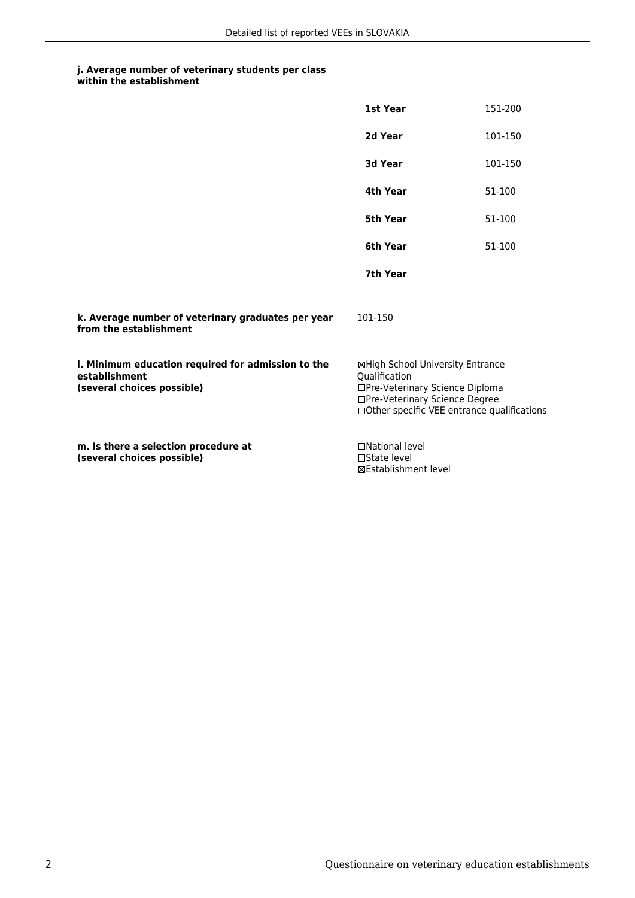## **j. Average number of veterinary students per class within the establishment**

|                                                                                                   | 1st Year                                                                                                                                                               | 151-200 |
|---------------------------------------------------------------------------------------------------|------------------------------------------------------------------------------------------------------------------------------------------------------------------------|---------|
|                                                                                                   | 2d Year                                                                                                                                                                | 101-150 |
|                                                                                                   | 3d Year                                                                                                                                                                | 101-150 |
|                                                                                                   | 4th Year                                                                                                                                                               | 51-100  |
|                                                                                                   | 5th Year                                                                                                                                                               | 51-100  |
|                                                                                                   | 6th Year                                                                                                                                                               | 51-100  |
|                                                                                                   | 7th Year                                                                                                                                                               |         |
| k. Average number of veterinary graduates per year<br>from the establishment                      | 101-150                                                                                                                                                                |         |
| I. Minimum education required for admission to the<br>establishment<br>(several choices possible) | ⊠High School University Entrance<br>Oualification<br>□Pre-Veterinary Science Diploma<br>□Pre-Veterinary Science Degree<br>□ Other specific VEE entrance qualifications |         |
| m. Is there a selection procedure at<br>(several choices possible)                                | □National level<br>$\Box$ State level<br>⊠Establishment level                                                                                                          |         |